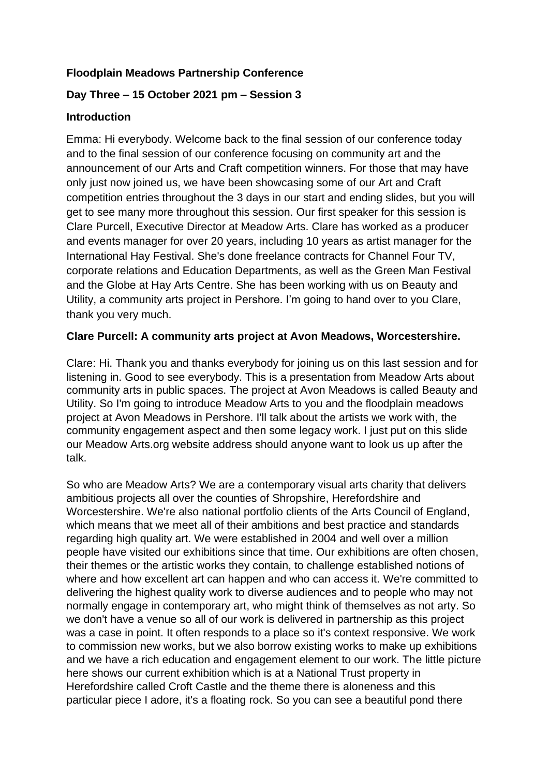# **Floodplain Meadows Partnership Conference**

# **Day Three – 15 October 2021 pm – Session 3**

### **Introduction**

Emma: Hi everybody. Welcome back to the final session of our conference today and to the final session of our conference focusing on community art and the announcement of our Arts and Craft competition winners. For those that may have only just now joined us, we have been showcasing some of our Art and Craft competition entries throughout the 3 days in our start and ending slides, but you will get to see many more throughout this session. Our first speaker for this session is Clare Purcell, Executive Director at Meadow Arts. Clare has worked as a producer and events manager for over 20 years, including 10 years as artist manager for the International Hay Festival. She's done freelance contracts for Channel Four TV, corporate relations and Education Departments, as well as the Green Man Festival and the Globe at Hay Arts Centre. She has been working with us on Beauty and Utility, a community arts project in Pershore. I'm going to hand over to you Clare, thank you very much.

### **Clare Purcell: A community arts project at Avon Meadows, Worcestershire.**

Clare: Hi. Thank you and thanks everybody for joining us on this last session and for listening in. Good to see everybody. This is a presentation from Meadow Arts about community arts in public spaces. The project at Avon Meadows is called Beauty and Utility. So I'm going to introduce Meadow Arts to you and the floodplain meadows project at Avon Meadows in Pershore. I'll talk about the artists we work with, the community engagement aspect and then some legacy work. I just put on this slide our Meadow Arts.org website address should anyone want to look us up after the talk.

So who are Meadow Arts? We are a contemporary visual arts charity that delivers ambitious projects all over the counties of Shropshire, Herefordshire and Worcestershire. We're also national portfolio clients of the Arts Council of England, which means that we meet all of their ambitions and best practice and standards regarding high quality art. We were established in 2004 and well over a million people have visited our exhibitions since that time. Our exhibitions are often chosen, their themes or the artistic works they contain, to challenge established notions of where and how excellent art can happen and who can access it. We're committed to delivering the highest quality work to diverse audiences and to people who may not normally engage in contemporary art, who might think of themselves as not arty. So we don't have a venue so all of our work is delivered in partnership as this project was a case in point. It often responds to a place so it's context responsive. We work to commission new works, but we also borrow existing works to make up exhibitions and we have a rich education and engagement element to our work. The little picture here shows our current exhibition which is at a National Trust property in Herefordshire called Croft Castle and the theme there is aloneness and this particular piece I adore, it's a floating rock. So you can see a beautiful pond there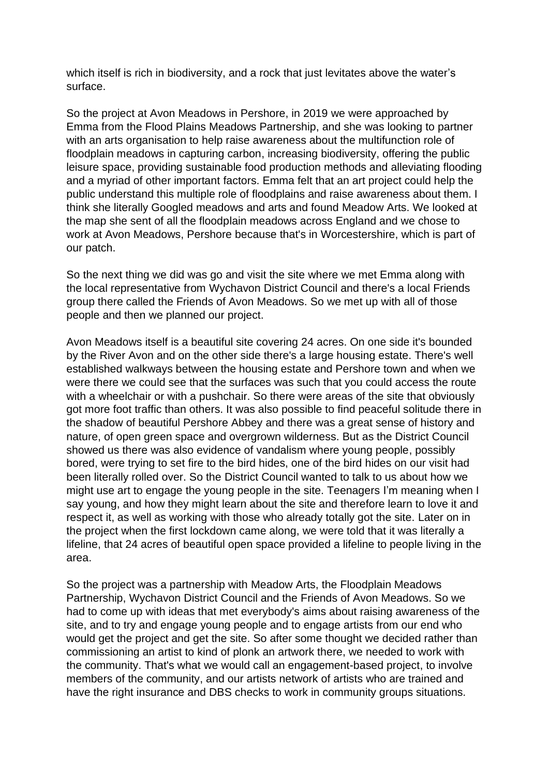which itself is rich in biodiversity, and a rock that just levitates above the water's surface.

So the project at Avon Meadows in Pershore, in 2019 we were approached by Emma from the Flood Plains Meadows Partnership, and she was looking to partner with an arts organisation to help raise awareness about the multifunction role of floodplain meadows in capturing carbon, increasing biodiversity, offering the public leisure space, providing sustainable food production methods and alleviating flooding and a myriad of other important factors. Emma felt that an art project could help the public understand this multiple role of floodplains and raise awareness about them. I think she literally Googled meadows and arts and found Meadow Arts. We looked at the map she sent of all the floodplain meadows across England and we chose to work at Avon Meadows, Pershore because that's in Worcestershire, which is part of our patch.

So the next thing we did was go and visit the site where we met Emma along with the local representative from Wychavon District Council and there's a local Friends group there called the Friends of Avon Meadows. So we met up with all of those people and then we planned our project.

Avon Meadows itself is a beautiful site covering 24 acres. On one side it's bounded by the River Avon and on the other side there's a large housing estate. There's well established walkways between the housing estate and Pershore town and when we were there we could see that the surfaces was such that you could access the route with a wheelchair or with a pushchair. So there were areas of the site that obviously got more foot traffic than others. It was also possible to find peaceful solitude there in the shadow of beautiful Pershore Abbey and there was a great sense of history and nature, of open green space and overgrown wilderness. But as the District Council showed us there was also evidence of vandalism where young people, possibly bored, were trying to set fire to the bird hides, one of the bird hides on our visit had been literally rolled over. So the District Council wanted to talk to us about how we might use art to engage the young people in the site. Teenagers I'm meaning when I say young, and how they might learn about the site and therefore learn to love it and respect it, as well as working with those who already totally got the site. Later on in the project when the first lockdown came along, we were told that it was literally a lifeline, that 24 acres of beautiful open space provided a lifeline to people living in the area.

So the project was a partnership with Meadow Arts, the Floodplain Meadows Partnership, Wychavon District Council and the Friends of Avon Meadows. So we had to come up with ideas that met everybody's aims about raising awareness of the site, and to try and engage young people and to engage artists from our end who would get the project and get the site. So after some thought we decided rather than commissioning an artist to kind of plonk an artwork there, we needed to work with the community. That's what we would call an engagement-based project, to involve members of the community, and our artists network of artists who are trained and have the right insurance and DBS checks to work in community groups situations.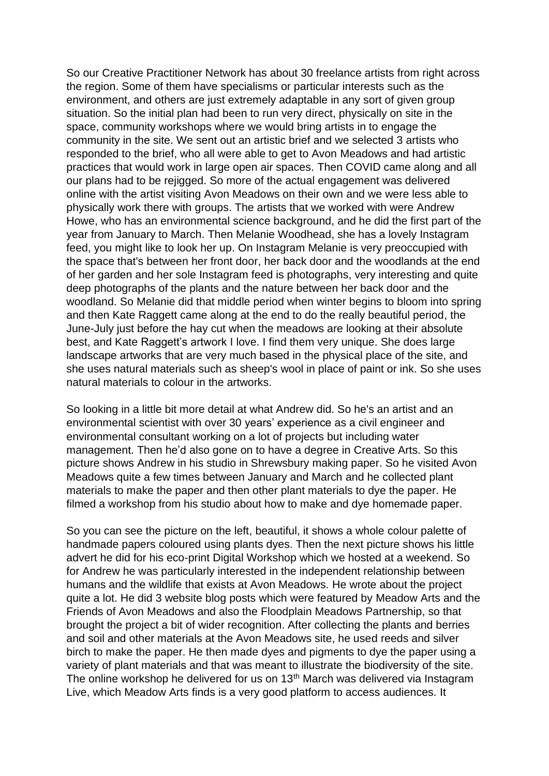So our Creative Practitioner Network has about 30 freelance artists from right across the region. Some of them have specialisms or particular interests such as the environment, and others are just extremely adaptable in any sort of given group situation. So the initial plan had been to run very direct, physically on site in the space, community workshops where we would bring artists in to engage the community in the site. We sent out an artistic brief and we selected 3 artists who responded to the brief, who all were able to get to Avon Meadows and had artistic practices that would work in large open air spaces. Then COVID came along and all our plans had to be rejigged. So more of the actual engagement was delivered online with the artist visiting Avon Meadows on their own and we were less able to physically work there with groups. The artists that we worked with were Andrew Howe, who has an environmental science background, and he did the first part of the year from January to March. Then Melanie Woodhead, she has a lovely Instagram feed, you might like to look her up. On Instagram Melanie is very preoccupied with the space that's between her front door, her back door and the woodlands at the end of her garden and her sole Instagram feed is photographs, very interesting and quite deep photographs of the plants and the nature between her back door and the woodland. So Melanie did that middle period when winter begins to bloom into spring and then Kate Raggett came along at the end to do the really beautiful period, the June-July just before the hay cut when the meadows are looking at their absolute best, and Kate Raggett's artwork I love. I find them very unique. She does large landscape artworks that are very much based in the physical place of the site, and she uses natural materials such as sheep's wool in place of paint or ink. So she uses natural materials to colour in the artworks.

So looking in a little bit more detail at what Andrew did. So he's an artist and an environmental scientist with over 30 years' experience as a civil engineer and environmental consultant working on a lot of projects but including water management. Then he'd also gone on to have a degree in Creative Arts. So this picture shows Andrew in his studio in Shrewsbury making paper. So he visited Avon Meadows quite a few times between January and March and he collected plant materials to make the paper and then other plant materials to dye the paper. He filmed a workshop from his studio about how to make and dye homemade paper.

So you can see the picture on the left, beautiful, it shows a whole colour palette of handmade papers coloured using plants dyes. Then the next picture shows his little advert he did for his eco-print Digital Workshop which we hosted at a weekend. So for Andrew he was particularly interested in the independent relationship between humans and the wildlife that exists at Avon Meadows. He wrote about the project quite a lot. He did 3 website blog posts which were featured by Meadow Arts and the Friends of Avon Meadows and also the Floodplain Meadows Partnership, so that brought the project a bit of wider recognition. After collecting the plants and berries and soil and other materials at the Avon Meadows site, he used reeds and silver birch to make the paper. He then made dyes and pigments to dye the paper using a variety of plant materials and that was meant to illustrate the biodiversity of the site. The online workshop he delivered for us on 13<sup>th</sup> March was delivered via Instagram Live, which Meadow Arts finds is a very good platform to access audiences. It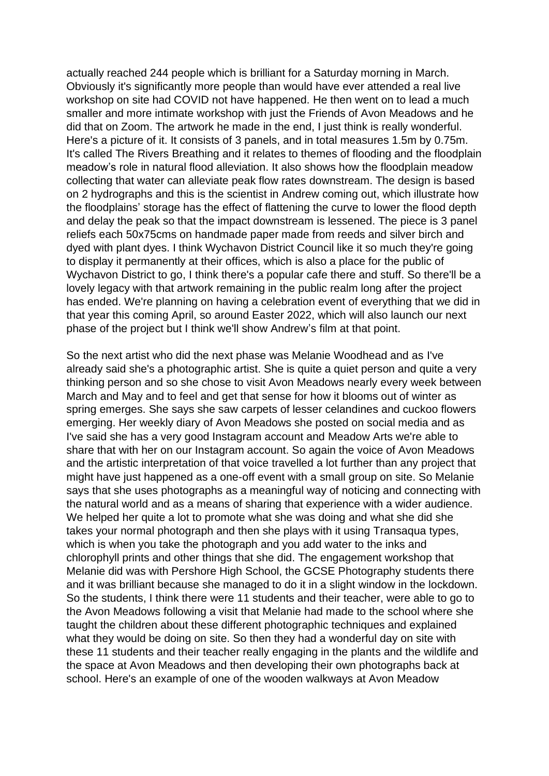actually reached 244 people which is brilliant for a Saturday morning in March. Obviously it's significantly more people than would have ever attended a real live workshop on site had COVID not have happened. He then went on to lead a much smaller and more intimate workshop with just the Friends of Avon Meadows and he did that on Zoom. The artwork he made in the end, I just think is really wonderful. Here's a picture of it. It consists of 3 panels, and in total measures 1.5m by 0.75m. It's called The Rivers Breathing and it relates to themes of flooding and the floodplain meadow's role in natural flood alleviation. It also shows how the floodplain meadow collecting that water can alleviate peak flow rates downstream. The design is based on 2 hydrographs and this is the scientist in Andrew coming out, which illustrate how the floodplains' storage has the effect of flattening the curve to lower the flood depth and delay the peak so that the impact downstream is lessened. The piece is 3 panel reliefs each 50x75cms on handmade paper made from reeds and silver birch and dyed with plant dyes. I think Wychavon District Council like it so much they're going to display it permanently at their offices, which is also a place for the public of Wychavon District to go, I think there's a popular cafe there and stuff. So there'll be a lovely legacy with that artwork remaining in the public realm long after the project has ended. We're planning on having a celebration event of everything that we did in that year this coming April, so around Easter 2022, which will also launch our next phase of the project but I think we'll show Andrew's film at that point.

So the next artist who did the next phase was Melanie Woodhead and as I've already said she's a photographic artist. She is quite a quiet person and quite a very thinking person and so she chose to visit Avon Meadows nearly every week between March and May and to feel and get that sense for how it blooms out of winter as spring emerges. She says she saw carpets of lesser celandines and cuckoo flowers emerging. Her weekly diary of Avon Meadows she posted on social media and as I've said she has a very good Instagram account and Meadow Arts we're able to share that with her on our Instagram account. So again the voice of Avon Meadows and the artistic interpretation of that voice travelled a lot further than any project that might have just happened as a one-off event with a small group on site. So Melanie says that she uses photographs as a meaningful way of noticing and connecting with the natural world and as a means of sharing that experience with a wider audience. We helped her quite a lot to promote what she was doing and what she did she takes your normal photograph and then she plays with it using Transaqua types, which is when you take the photograph and you add water to the inks and chlorophyll prints and other things that she did. The engagement workshop that Melanie did was with Pershore High School, the GCSE Photography students there and it was brilliant because she managed to do it in a slight window in the lockdown. So the students, I think there were 11 students and their teacher, were able to go to the Avon Meadows following a visit that Melanie had made to the school where she taught the children about these different photographic techniques and explained what they would be doing on site. So then they had a wonderful day on site with these 11 students and their teacher really engaging in the plants and the wildlife and the space at Avon Meadows and then developing their own photographs back at school. Here's an example of one of the wooden walkways at Avon Meadow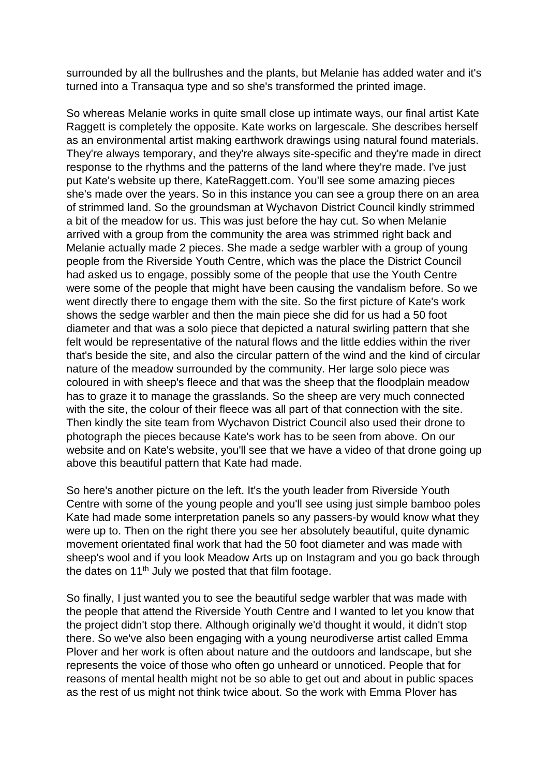surrounded by all the bullrushes and the plants, but Melanie has added water and it's turned into a Transaqua type and so she's transformed the printed image.

So whereas Melanie works in quite small close up intimate ways, our final artist Kate Raggett is completely the opposite. Kate works on largescale. She describes herself as an environmental artist making earthwork drawings using natural found materials. They're always temporary, and they're always site-specific and they're made in direct response to the rhythms and the patterns of the land where they're made. I've just put Kate's website up there, KateRaggett.com. You'll see some amazing pieces she's made over the years. So in this instance you can see a group there on an area of strimmed land. So the groundsman at Wychavon District Council kindly strimmed a bit of the meadow for us. This was just before the hay cut. So when Melanie arrived with a group from the community the area was strimmed right back and Melanie actually made 2 pieces. She made a sedge warbler with a group of young people from the Riverside Youth Centre, which was the place the District Council had asked us to engage, possibly some of the people that use the Youth Centre were some of the people that might have been causing the vandalism before. So we went directly there to engage them with the site. So the first picture of Kate's work shows the sedge warbler and then the main piece she did for us had a 50 foot diameter and that was a solo piece that depicted a natural swirling pattern that she felt would be representative of the natural flows and the little eddies within the river that's beside the site, and also the circular pattern of the wind and the kind of circular nature of the meadow surrounded by the community. Her large solo piece was coloured in with sheep's fleece and that was the sheep that the floodplain meadow has to graze it to manage the grasslands. So the sheep are very much connected with the site, the colour of their fleece was all part of that connection with the site. Then kindly the site team from Wychavon District Council also used their drone to photograph the pieces because Kate's work has to be seen from above. On our website and on Kate's website, you'll see that we have a video of that drone going up above this beautiful pattern that Kate had made.

So here's another picture on the left. It's the youth leader from Riverside Youth Centre with some of the young people and you'll see using just simple bamboo poles Kate had made some interpretation panels so any passers-by would know what they were up to. Then on the right there you see her absolutely beautiful, quite dynamic movement orientated final work that had the 50 foot diameter and was made with sheep's wool and if you look Meadow Arts up on Instagram and you go back through the dates on  $11<sup>th</sup>$  July we posted that that film footage.

So finally, I just wanted you to see the beautiful sedge warbler that was made with the people that attend the Riverside Youth Centre and I wanted to let you know that the project didn't stop there. Although originally we'd thought it would, it didn't stop there. So we've also been engaging with a young neurodiverse artist called Emma Plover and her work is often about nature and the outdoors and landscape, but she represents the voice of those who often go unheard or unnoticed. People that for reasons of mental health might not be so able to get out and about in public spaces as the rest of us might not think twice about. So the work with Emma Plover has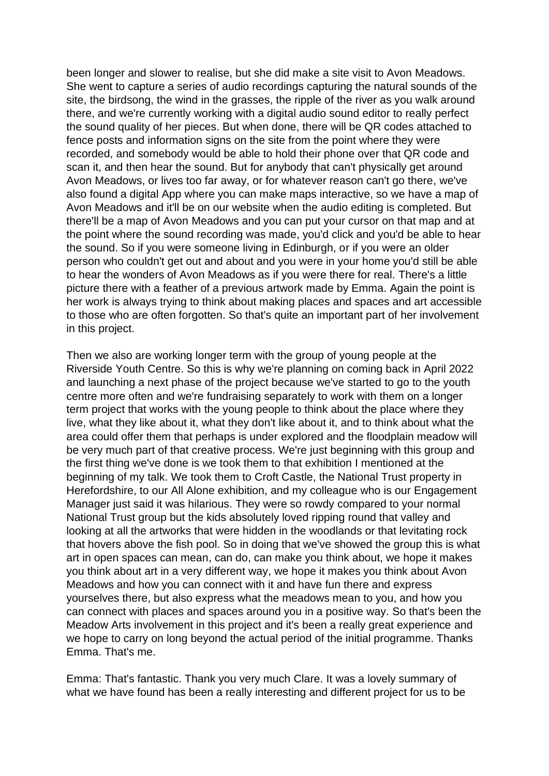been longer and slower to realise, but she did make a site visit to Avon Meadows. She went to capture a series of audio recordings capturing the natural sounds of the site, the birdsong, the wind in the grasses, the ripple of the river as you walk around there, and we're currently working with a digital audio sound editor to really perfect the sound quality of her pieces. But when done, there will be QR codes attached to fence posts and information signs on the site from the point where they were recorded, and somebody would be able to hold their phone over that QR code and scan it, and then hear the sound. But for anybody that can't physically get around Avon Meadows, or lives too far away, or for whatever reason can't go there, we've also found a digital App where you can make maps interactive, so we have a map of Avon Meadows and it'll be on our website when the audio editing is completed. But there'll be a map of Avon Meadows and you can put your cursor on that map and at the point where the sound recording was made, you'd click and you'd be able to hear the sound. So if you were someone living in Edinburgh, or if you were an older person who couldn't get out and about and you were in your home you'd still be able to hear the wonders of Avon Meadows as if you were there for real. There's a little picture there with a feather of a previous artwork made by Emma. Again the point is her work is always trying to think about making places and spaces and art accessible to those who are often forgotten. So that's quite an important part of her involvement in this project.

Then we also are working longer term with the group of young people at the Riverside Youth Centre. So this is why we're planning on coming back in April 2022 and launching a next phase of the project because we've started to go to the youth centre more often and we're fundraising separately to work with them on a longer term project that works with the young people to think about the place where they live, what they like about it, what they don't like about it, and to think about what the area could offer them that perhaps is under explored and the floodplain meadow will be very much part of that creative process. We're just beginning with this group and the first thing we've done is we took them to that exhibition I mentioned at the beginning of my talk. We took them to Croft Castle, the National Trust property in Herefordshire, to our All Alone exhibition, and my colleague who is our Engagement Manager just said it was hilarious. They were so rowdy compared to your normal National Trust group but the kids absolutely loved ripping round that valley and looking at all the artworks that were hidden in the woodlands or that levitating rock that hovers above the fish pool. So in doing that we've showed the group this is what art in open spaces can mean, can do, can make you think about, we hope it makes you think about art in a very different way, we hope it makes you think about Avon Meadows and how you can connect with it and have fun there and express yourselves there, but also express what the meadows mean to you, and how you can connect with places and spaces around you in a positive way. So that's been the Meadow Arts involvement in this project and it's been a really great experience and we hope to carry on long beyond the actual period of the initial programme. Thanks Emma. That's me.

Emma: That's fantastic. Thank you very much Clare. It was a lovely summary of what we have found has been a really interesting and different project for us to be